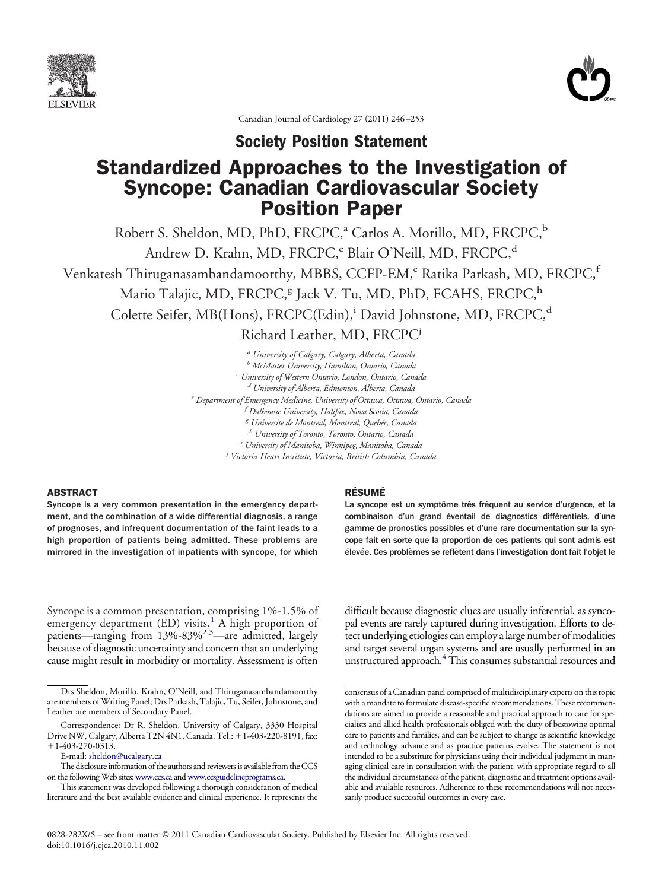



Canadian Journal of Cardiology 27 (2011) 246–253

**Society Position Statement**

# Standardized Approaches to the Investigation of Syncope: Canadian Cardiovascular Society Position Paper

Robert S. Sheldon, MD, PhD, FRCPC,<sup>a</sup> Carlos A. Morillo, MD, FRCPC,<sup>b</sup> Andrew D. Krahn, MD, FRCPC,<sup>c</sup> Blair O'Neill, MD, FRCPC,<sup>d</sup> Venkatesh Thiruganasambandamoorthy, MBBS, CCFP-EM,<sup>e</sup> Ratika Parkash, MD, FRCPC,<sup>f</sup> Mario Talajic, MD, FRCPC,<sup>g</sup> Jack V. Tu, MD, PhD, FCAHS, FRCPC,<sup>h</sup> Colette Seifer, MB(Hons), FRCPC(Edin),<sup>i</sup> David Johnstone, MD, FRCPC,<sup>d</sup> Richard Leather, MD, FRCPCj

> *<sup>a</sup> University of Calgary, Calgary, Alberta, Canada <sup>b</sup> McMaster University, Hamilton, Ontario, Canada <sup>c</sup> University of Western Ontario, London, Ontario, Canada <sup>d</sup> University of Alberta, Edmonton, Alberta, Canada <sup>e</sup> Department of Emergency Medicine, University of Ottawa, Ottawa, Ontario, Canada f Dalhousie University, Halifax, Nova Scotia, Canada <sup>g</sup> Universite de Montreal, Montreal, Quebéc, Canada <sup>h</sup> University of Toronto, Toronto, Ontario, Canada i University of Manitoba, Winnipeg, Manitoba, Canada j Victoria Heart Institute, Victoria, British Columbia, Canada*

# ABSTRACT

Syncope is a very common presentation in the emergency department, and the combination of a wide differential diagnosis, a range of prognoses, and infrequent documentation of the faint leads to a high proportion of patients being admitted. These problems are mirrored in the investigation of inpatients with syncope, for which

#### RÉSUMÉ

La syncope est un symptôme très fréquent au service d'urgence, et la combinaison d'un grand éventail de diagnostics différentiels, d'une gamme de pronostics possibles et d'une rare documentation sur la syncope fait en sorte que la proportion de ces patients qui sont admis est élevée. Ces problèmes se reflètent dans l'investigation dont fait l'objet le

Syncope is a common presentation, comprising 1%-1.5% of emergency department (ED) visits.<sup>[1](#page-5-0)</sup> A high proportion of patients—ranging from 13%-83%<sup>2,3</sup>—are admitted, largely because of diagnostic uncertainty and concern that an underlying cause might result in morbidity or mortality. Assessment is often

Correspondence: Dr R. Sheldon, University of Calgary, 3330 Hospital Drive NW, Calgary, Alberta T2N 4N1, Canada. Tel.: +1-403-220-8191, fax:  $+1-403-270-0313.$ 

difficult because diagnostic clues are usually inferential, as syncopal events are rarely captured during investigation. Efforts to detect underlying etiologies can employ a large number of modalities and target several organ systems and are usually performed in an unstructured approach.<sup>4</sup> This consumes substantial resources and

Drs Sheldon, Morillo, Krahn, O'Neill, and Thiruganasambandamoorthy are members of Writing Panel; Drs Parkash, Talajic, Tu, Seifer, Johnstone, and Leather are members of Secondary Panel.

E-mail: [sheldon@ucalgary.ca](mailto:sheldon@ucalgary.ca)

The disclosure information of the authors and reviewers is available from the CCS on the following Web sites: [www.ccs.ca](http://www.ccs.ca) and [www.ccsguidelineprograms.ca.](http://www.ccsguidelineprograms.ca)

This statement was developed following a thorough consideration of medical literature and the best available evidence and clinical experience. It represents the

consensus of a Canadian panel comprised of multidisciplinary experts on this topic with a mandate to formulate disease-specific recommendations. These recommendations are aimed to provide a reasonable and practical approach to care for specialists and allied health professionals obliged with the duty of bestowing optimal care to patients and families, and can be subject to change as scientific knowledge and technology advance and as practice patterns evolve. The statement is not intended to be a substitute for physicians using their individual judgment in managing clinical care in consultation with the patient, with appropriate regard to all the individual circumstances of the patient, diagnostic and treatment options available and available resources. Adherence to these recommendations will not necessarily produce successful outcomes in every case.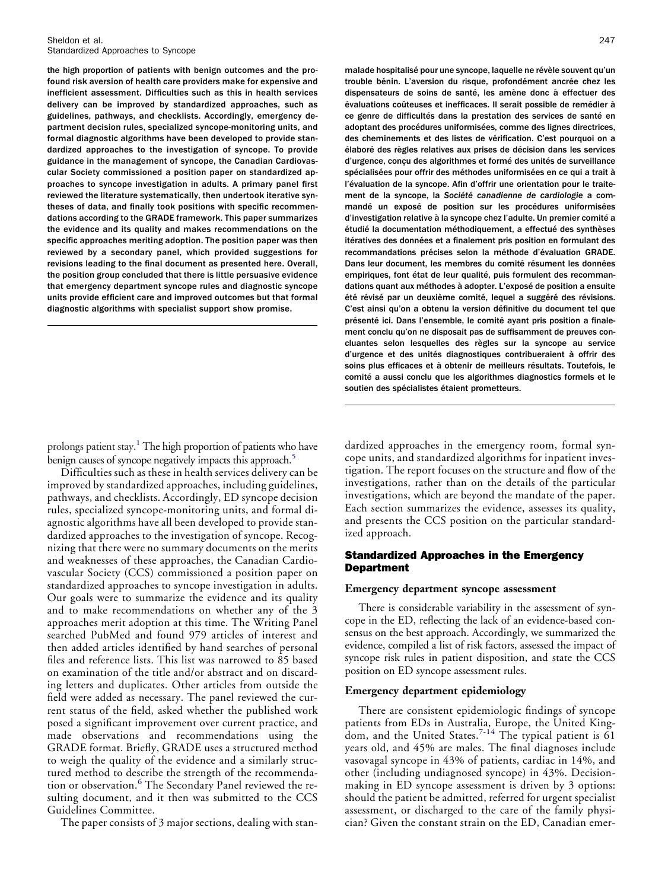the high proportion of patients with benign outcomes and the profound risk aversion of health care providers make for expensive and inefficient assessment. Difficulties such as this in health services delivery can be improved by standardized approaches, such as guidelines, pathways, and checklists. Accordingly, emergency department decision rules, specialized syncope-monitoring units, and formal diagnostic algorithms have been developed to provide standardized approaches to the investigation of syncope. To provide guidance in the management of syncope, the Canadian Cardiovascular Society commissioned a position paper on standardized approaches to syncope investigation in adults. A primary panel first reviewed the literature systematically, then undertook iterative syntheses of data, and finally took positions with specific recommendations according to the GRADE framework. This paper summarizes the evidence and its quality and makes recommendations on the specific approaches meriting adoption. The position paper was then reviewed by a secondary panel, which provided suggestions for revisions leading to the final document as presented here. Overall, the position group concluded that there is little persuasive evidence that emergency department syncope rules and diagnostic syncope units provide efficient care and improved outcomes but that formal diagnostic algorithms with specialist support show promise.

prolongs patient stay[.1](#page-5-0) The high proportion of patients who have benign causes of syncope negatively impacts this approach.<sup>5</sup>

Difficulties such as these in health services delivery can be improved by standardized approaches, including guidelines, pathways, and checklists. Accordingly, ED syncope decision rules, specialized syncope-monitoring units, and formal diagnostic algorithms have all been developed to provide standardized approaches to the investigation of syncope. Recognizing that there were no summary documents on the merits and weaknesses of these approaches, the Canadian Cardiovascular Society (CCS) commissioned a position paper on standardized approaches to syncope investigation in adults. Our goals were to summarize the evidence and its quality and to make recommendations on whether any of the 3 approaches merit adoption at this time. The Writing Panel searched PubMed and found 979 articles of interest and then added articles identified by hand searches of personal files and reference lists. This list was narrowed to 85 based on examination of the title and/or abstract and on discarding letters and duplicates. Other articles from outside the field were added as necessary. The panel reviewed the current status of the field, asked whether the published work posed a significant improvement over current practice, and made observations and recommendations using the GRADE format. Briefly, GRADE uses a structured method to weigh the quality of the evidence and a similarly structured method to describe the strength of the recommenda-tion or observation.<sup>[6](#page-5-3)</sup> The Secondary Panel reviewed the resulting document, and it then was submitted to the CCS Guidelines Committee.

The paper consists of 3 major sections, dealing with stan-

malade hospitalisé pour une syncope, laquelle ne révèle souvent qu'un trouble bénin. L'aversion du risque, profondément ancrée chez les dispensateurs de soins de santé, les amène donc à effectuer des évaluations coûteuses et inefficaces. Il serait possible de remédier à ce genre de difficultés dans la prestation des services de santé en adoptant des procédures uniformisées, comme des lignes directrices, des cheminements et des listes de vérification. C'est pourquoi on a élaboré des règles relatives aux prises de décision dans les services d'urgence, conçu des algorithmes et formé des unités de surveillance spécialisées pour offrir des méthodes uniformisées en ce qui a trait à l'évaluation de la syncope. Afin d'offrir une orientation pour le traitement de la syncope, la *Société canadienne de cardiologie* a commandé un exposé de position sur les procédures uniformisées d'investigation relative à la syncope chez l'adulte. Un premier comité a étudié la documentation méthodiquement, a effectué des synthèses itératives des données et a finalement pris position en formulant des recommandations précises selon la méthode d'évaluation GRADE. Dans leur document, les membres du comité résument les données empiriques, font état de leur qualité, puis formulent des recommandations quant aux méthodes à adopter. L'exposé de position a ensuite été révisé par un deuxième comité, lequel a suggéré des révisions. C'est ainsi qu'on a obtenu la version définitive du document tel que présenté ici. Dans l'ensemble, le comité ayant pris position a finalement conclu qu'on ne disposait pas de suffisamment de preuves concluantes selon lesquelles des règles sur la syncope au service d'urgence et des unités diagnostiques contribueraient à offrir des soins plus efficaces et à obtenir de meilleurs résultats. Toutefois, le comité a aussi conclu que les algorithmes diagnostics formels et le soutien des spécialistes étaient prometteurs.

dardized approaches in the emergency room, formal syncope units, and standardized algorithms for inpatient investigation. The report focuses on the structure and flow of the investigations, rather than on the details of the particular investigations, which are beyond the mandate of the paper. Each section summarizes the evidence, assesses its quality, and presents the CCS position on the particular standardized approach.

# Standardized Approaches in the Emergency Department

#### **Emergency department syncope assessment**

There is considerable variability in the assessment of syncope in the ED, reflecting the lack of an evidence-based consensus on the best approach. Accordingly, we summarized the evidence, compiled a list of risk factors, assessed the impact of syncope risk rules in patient disposition, and state the CCS position on ED syncope assessment rules.

## **Emergency department epidemiology**

There are consistent epidemiologic findings of syncope patients from EDs in Australia, Europe, the United King-dom, and the United States.<sup>[7-14](#page-5-4)</sup> The typical patient is  $61$ years old, and 45% are males. The final diagnoses include vasovagal syncope in 43% of patients, cardiac in 14%, and other (including undiagnosed syncope) in 43%. Decisionmaking in ED syncope assessment is driven by 3 options: should the patient be admitted, referred for urgent specialist assessment, or discharged to the care of the family physician? Given the constant strain on the ED, Canadian emer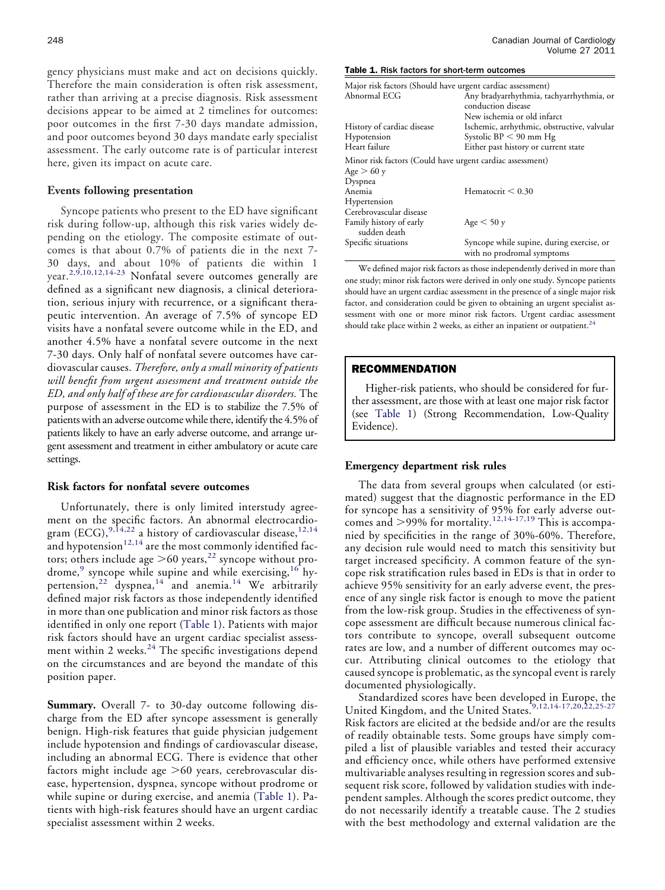gency physicians must make and act on decisions quickly. Therefore the main consideration is often risk assessment, rather than arriving at a precise diagnosis. Risk assessment decisions appear to be aimed at 2 timelines for outcomes: poor outcomes in the first 7-30 days mandate admission, and poor outcomes beyond 30 days mandate early specialist assessment. The early outcome rate is of particular interest here, given its impact on acute care.

#### **Events following presentation**

Syncope patients who present to the ED have significant risk during follow-up, although this risk varies widely depending on the etiology. The composite estimate of outcomes is that about 0.7% of patients die in the next 7- 30 days, and about 10% of patients die within 1 vear.<sup>[2,9,10,12,14-23](#page-5-5)</sup> Nonfatal severe outcomes generally are defined as a significant new diagnosis, a clinical deterioration, serious injury with recurrence, or a significant therapeutic intervention. An average of 7.5% of syncope ED visits have a nonfatal severe outcome while in the ED, and another 4.5% have a nonfatal severe outcome in the next 7-30 days. Only half of nonfatal severe outcomes have cardiovascular causes. *Therefore, only a small minority of patients will benefit from urgent assessment and treatment outside the ED, and only half of these are for cardiovascular disorders.* The purpose of assessment in the ED is to stabilize the 7.5% of patients with an adverse outcome while there, identify the 4.5% of patients likely to have an early adverse outcome, and arrange urgent assessment and treatment in either ambulatory or acute care settings.

## **Risk factors for nonfatal severe outcomes**

Unfortunately, there is only limited interstudy agreement on the specific factors. An abnormal electrocardiogram (ECG),  $^{9,14,22}$  $^{9,14,22}$  $^{9,14,22}$  a history of cardiovascular disease,  $^{12,14}$  $^{12,14}$  $^{12,14}$ and hypotension $12,14$  are the most commonly identified factors; others include age  $>$  60 years,<sup>[22](#page-6-1)</sup> syncope without pro-drome,<sup>[9](#page-5-6)</sup> syncope while supine and while exercising,<sup>[16](#page-6-2)</sup> hy-pertension,<sup>[22](#page-6-1)</sup> dyspnea,<sup>[14](#page-6-3)</sup> and anemia.<sup>14</sup> We arbitrarily defined major risk factors as those independently identified in more than one publication and minor risk factors as those identified in only one report [\(Table 1\)](#page-2-0). Patients with major risk factors should have an urgent cardiac specialist assessment within 2 weeks. $24$  The specific investigations depend on the circumstances and are beyond the mandate of this position paper.

**Summary.** Overall 7- to 30-day outcome following discharge from the ED after syncope assessment is generally benign. High-risk features that guide physician judgement include hypotension and findings of cardiovascular disease, including an abnormal ECG. There is evidence that other factors might include age -60 years, cerebrovascular disease, hypertension, dyspnea, syncope without prodrome or while supine or during exercise, and anemia [\(Table 1\)](#page-2-0). Patients with high-risk features should have an urgent cardiac specialist assessment within 2 weeks.

#### <span id="page-2-0"></span>Table 1. Risk factors for short-term outcomes

| Major risk factors (Should have urgent cardiac assessment) |                                                                         |
|------------------------------------------------------------|-------------------------------------------------------------------------|
| Abnormal ECG                                               | Any bradyarrhythmia, tachyarrhythmia, or                                |
|                                                            | conduction disease                                                      |
|                                                            | New ischemia or old infarct                                             |
| History of cardiac disease                                 | Ischemic, arrhythmic, obstructive, valvular                             |
| Hypotension                                                | Systolic $BP < 90$ mm Hg                                                |
| Heart failure                                              | Either past history or current state                                    |
| Minor risk factors (Could have urgent cardiac assessment)  |                                                                         |
| Age > 60 y                                                 |                                                                         |
| Dyspnea                                                    |                                                                         |
| Anemia                                                     | Hematocrit $< 0.30$                                                     |
| Hypertension                                               |                                                                         |
| Cerebrovascular disease                                    |                                                                         |
| Family history of early<br>sudden death                    | Age < 50 y                                                              |
| Specific situations                                        | Syncope while supine, during exercise, or<br>with no prodromal symptoms |

We defined major risk factors as those independently derived in more than one study; minor risk factors were derived in only one study. Syncope patients should have an urgent cardiac assessment in the presence of a single major risk factor, and consideration could be given to obtaining an urgent specialist assessment with one or more minor risk factors. Urgent cardiac assessment should take place within 2 weeks, as either an inpatient or outpatient. $^{24}$ 

#### RECOMMENDATION

Higher-risk patients, who should be considered for further assessment, are those with at least one major risk factor (see [Table 1\)](#page-2-0) (Strong Recommendation, Low-Quality Evidence).

#### **Emergency department risk rules**

The data from several groups when calculated (or estimated) suggest that the diagnostic performance in the ED for syncope has a sensitivity of 95% for early adverse outcomes and  $>$ 99% for mortality.<sup>[12,14-17,19](#page-6-0)</sup> This is accompanied by specificities in the range of 30%-60%. Therefore, any decision rule would need to match this sensitivity but target increased specificity. A common feature of the syncope risk stratification rules based in EDs is that in order to achieve 95% sensitivity for an early adverse event, the presence of any single risk factor is enough to move the patient from the low-risk group. Studies in the effectiveness of syncope assessment are difficult because numerous clinical factors contribute to syncope, overall subsequent outcome rates are low, and a number of different outcomes may occur. Attributing clinical outcomes to the etiology that caused syncope is problematic, as the syncopal event is rarely documented physiologically.

Standardized scores have been developed in Europe, the United Kingdom, and the United States.<sup>[9,12,14-17,20,22,25-27](#page-5-6)</sup> Risk factors are elicited at the bedside and/or are the results of readily obtainable tests. Some groups have simply compiled a list of plausible variables and tested their accuracy and efficiency once, while others have performed extensive multivariable analyses resulting in regression scores and subsequent risk score, followed by validation studies with independent samples. Although the scores predict outcome, they do not necessarily identify a treatable cause. The 2 studies with the best methodology and external validation are the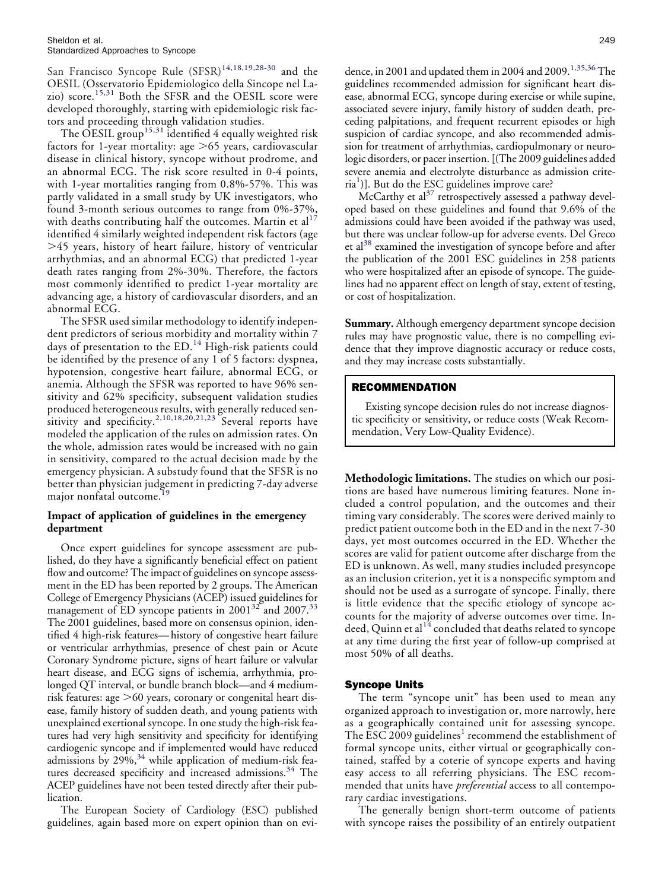San Francisco Syncope Rule (SFSR)<sup>[14,18,19,28-30](#page-6-3)</sup> and the OESIL (Osservatorio Epidemiologico della Sincope nel La-zio) score.<sup>[15,31](#page-6-5)</sup> Both the SFSR and the OESIL score were developed thoroughly, starting with epidemiologic risk factors and proceeding through validation studies.

The OESIL group<sup>[15,31](#page-6-5)</sup> identified 4 equally weighted risk factors for 1-year mortality: age  $\mathord{>}65$  years, cardiovascular disease in clinical history, syncope without prodrome, and an abnormal ECG. The risk score resulted in 0-4 points, with 1-year mortalities ranging from 0.8%-57%. This was partly validated in a small study by UK investigators, who found 3-month serious outcomes to range from 0%-37%, with deaths contributing half the outcomes. Martin et al<sup>[17](#page-6-6)</sup> identified 4 similarly weighted independent risk factors (age -45 years, history of heart failure, history of ventricular arrhythmias, and an abnormal ECG) that predicted 1-year death rates ranging from 2%-30%. Therefore, the factors most commonly identified to predict 1-year mortality are advancing age, a history of cardiovascular disorders, and an abnormal ECG.

The SFSR used similar methodology to identify independent predictors of serious morbidity and mortality within 7 days of presentation to the ED.<sup>[14](#page-6-3)</sup> High-risk patients could be identified by the presence of any 1 of 5 factors: dyspnea, hypotension, congestive heart failure, abnormal ECG, or anemia. Although the SFSR was reported to have 96% sensitivity and 62% specificity, subsequent validation studies produced heterogeneous results, with generally reduced sen-sitivity and specificity.<sup>[2,10,18,20,21,23](#page-5-5)</sup> Several reports have modeled the application of the rules on admission rates. On the whole, admission rates would be increased with no gain in sensitivity, compared to the actual decision made by the emergency physician. A substudy found that the SFSR is no better than physician judgement in predicting 7-day adverse major nonfatal outcome.<sup>1</sup>

# **Impact of application of guidelines in the emergency department**

Once expert guidelines for syncope assessment are published, do they have a significantly beneficial effect on patient flow and outcome? The impact of guidelines on syncope assessment in the ED has been reported by 2 groups. The American College of Emergency Physicians (ACEP) issued guidelines for management of ED syncope patients in 2001<sup>[32](#page-6-8)</sup> and 2007.<sup>[33](#page-6-9)</sup> The 2001 guidelines, based more on consensus opinion, identified 4 high-risk features—history of congestive heart failure or ventricular arrhythmias, presence of chest pain or Acute Coronary Syndrome picture, signs of heart failure or valvular heart disease, and ECG signs of ischemia, arrhythmia, prolonged QT interval, or bundle branch block—and 4 mediumrisk features: age >60 years, coronary or congenital heart disease, family history of sudden death, and young patients with unexplained exertional syncope. In one study the high-risk features had very high sensitivity and specificity for identifying cardiogenic syncope and if implemented would have reduced admissions by 29%,<sup>[34](#page-6-10)</sup> while application of medium-risk fea-tures decreased specificity and increased admissions.<sup>[34](#page-6-10)</sup> The ACEP guidelines have not been tested directly after their publication.

The European Society of Cardiology (ESC) published guidelines, again based more on expert opinion than on evi-

dence, in 2001 and updated them in 2004 and 2009.<sup>[1,35,36](#page-5-0)</sup> The guidelines recommended admission for significant heart disease, abnormal ECG, syncope during exercise or while supine, associated severe injury, family history of sudden death, preceding palpitations, and frequent recurrent episodes or high suspicion of cardiac syncope, and also recommended admission for treatment of arrhythmias, cardiopulmonary or neurologic disorders, or pacer insertion. [(The 2009 guidelines added severe anemia and electrolyte disturbance as admission crite-ria<sup>[1](#page-5-0)</sup>)]. But do the ESC guidelines improve care?

McCarthy et al<sup>[37](#page-6-11)</sup> retrospectively assessed a pathway developed based on these guidelines and found that 9.6% of the admissions could have been avoided if the pathway was used, but there was unclear follow-up for adverse events. Del Greco et al<sup>38</sup> examined the investigation of syncope before and after the publication of the 2001 ESC guidelines in 258 patients who were hospitalized after an episode of syncope. The guidelines had no apparent effect on length of stay, extent of testing, or cost of hospitalization.

**Summary.** Although emergency department syncope decision rules may have prognostic value, there is no compelling evidence that they improve diagnostic accuracy or reduce costs, and they may increase costs substantially.

# RECOMMENDATION

Existing syncope decision rules do not increase diagnostic specificity or sensitivity, or reduce costs (Weak Recommendation, Very Low-Quality Evidence).

**Methodologic limitations.** The studies on which our positions are based have numerous limiting features. None included a control population, and the outcomes and their timing vary considerably. The scores were derived mainly to predict patient outcome both in the ED and in the next 7-30 days, yet most outcomes occurred in the ED. Whether the scores are valid for patient outcome after discharge from the ED is unknown. As well, many studies included presyncope as an inclusion criterion, yet it is a nonspecific symptom and should not be used as a surrogate of syncope. Finally, there is little evidence that the specific etiology of syncope accounts for the majority of adverse outcomes over time. Indeed, Quinn et al $^{14}$  $^{14}$  $^{14}$  concluded that deaths related to syncope at any time during the first year of follow-up comprised at most 50% of all deaths.

# Syncope Units

The term "syncope unit" has been used to mean any organized approach to investigation or, more narrowly, here as a geographically contained unit for assessing syncope. The ESC 2009 guidelines<sup>[1](#page-5-0)</sup> recommend the establishment of formal syncope units, either virtual or geographically contained, staffed by a coterie of syncope experts and having easy access to all referring physicians. The ESC recommended that units have *preferential* access to all contemporary cardiac investigations.

The generally benign short-term outcome of patients with syncope raises the possibility of an entirely outpatient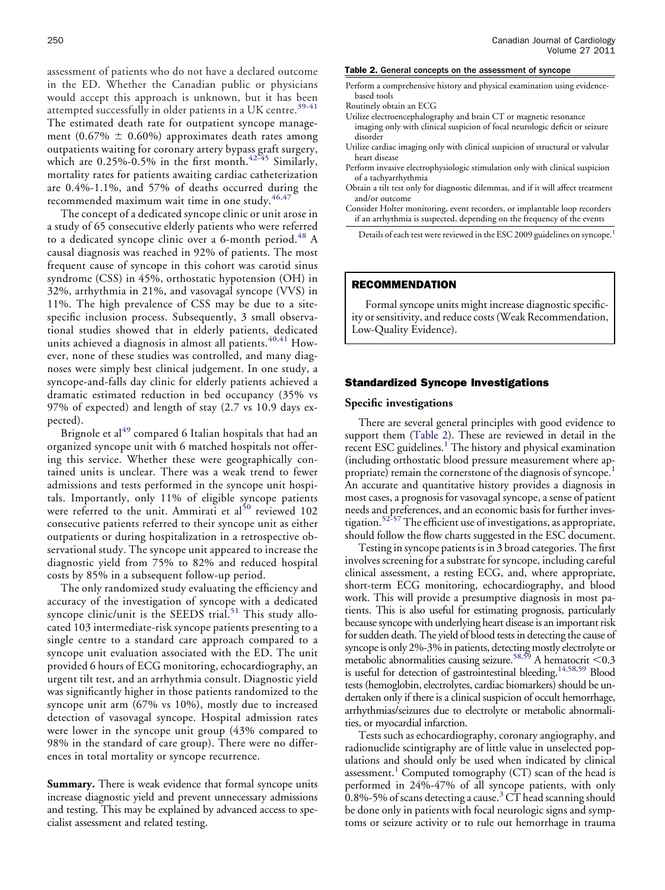assessment of patients who do not have a declared outcome in the ED. Whether the Canadian public or physicians would accept this approach is unknown, but it has been attempted successfully in older patients in a UK centre.<sup>[39-41](#page-6-13)</sup> The estimated death rate for outpatient syncope management (0.67%  $\pm$  0.60%) approximates death rates among outpatients waiting for coronary artery bypass graft surgery, which are  $0.25\%$ -0.5% in the first month.<sup>[42-45](#page-6-14)</sup> Similarly, mortality rates for patients awaiting cardiac catheterization are 0.4%-1.1%, and 57% of deaths occurred during the recommended maximum wait time in one study.<sup>[46,47](#page-6-15)</sup>

The concept of a dedicated syncope clinic or unit arose in a study of 65 consecutive elderly patients who were referred to a dedicated syncope clinic over a 6-month period.<sup>[48](#page-6-16)</sup> A causal diagnosis was reached in 92% of patients. The most frequent cause of syncope in this cohort was carotid sinus syndrome (CSS) in 45%, orthostatic hypotension (OH) in 32%, arrhythmia in 21%, and vasovagal syncope (VVS) in 11%. The high prevalence of CSS may be due to a sitespecific inclusion process. Subsequently, 3 small observational studies showed that in elderly patients, dedicated units achieved a diagnosis in almost all patients.<sup>[40,41](#page-6-17)</sup> However, none of these studies was controlled, and many diagnoses were simply best clinical judgement. In one study, a syncope-and-falls day clinic for elderly patients achieved a dramatic estimated reduction in bed occupancy (35% vs 97% of expected) and length of stay (2.7 vs 10.9 days expected).

Brignole et al<sup>[49](#page-7-0)</sup> compared 6 Italian hospitals that had an organized syncope unit with 6 matched hospitals not offering this service. Whether these were geographically contained units is unclear. There was a weak trend to fewer admissions and tests performed in the syncope unit hospitals. Importantly, only 11% of eligible syncope patients were referred to the unit. Ammirati et al<sup>[50](#page-7-1)</sup> reviewed 102 consecutive patients referred to their syncope unit as either outpatients or during hospitalization in a retrospective observational study. The syncope unit appeared to increase the diagnostic yield from 75% to 82% and reduced hospital costs by 85% in a subsequent follow-up period.

The only randomized study evaluating the efficiency and accuracy of the investigation of syncope with a dedicated syncope clinic/unit is the SEEDS trial.<sup>[51](#page-7-2)</sup> This study allocated 103 intermediate-risk syncope patients presenting to a single centre to a standard care approach compared to a syncope unit evaluation associated with the ED. The unit provided 6 hours of ECG monitoring, echocardiography, an urgent tilt test, and an arrhythmia consult. Diagnostic yield was significantly higher in those patients randomized to the syncope unit arm (67% vs 10%), mostly due to increased detection of vasovagal syncope. Hospital admission rates were lower in the syncope unit group (43% compared to 98% in the standard of care group). There were no differences in total mortality or syncope recurrence.

**Summary.** There is weak evidence that formal syncope units increase diagnostic yield and prevent unnecessary admissions and testing. This may be explained by advanced access to specialist assessment and related testing.

#### <span id="page-4-0"></span>Table 2. General concepts on the assessment of syncope

- Perform a comprehensive history and physical examination using evidencebased tools
- Routinely obtain an ECG
- Utilize electroencephalography and brain CT or magnetic resonance imaging only with clinical suspicion of focal neurologic deficit or seizure disorder
- Utilize cardiac imaging only with clinical suspicion of structural or valvular heart disease
- Perform invasive electrophysiologic stimulation only with clinical suspicion of a tachyarrhythmia
- Obtain a tilt test only for diagnostic dilemmas, and if it will affect treatment and/or outcome
- Consider Holter monitoring, event recorders, or implantable loop recorders if an arrhythmia is suspected, depending on the frequency of the events

Details of each test were reviewed in the ESC 2009 guidelines on syncope.<sup>[1](#page-5-0)</sup>

# RECOMMENDATION

Formal syncope units might increase diagnostic specificity or sensitivity, and reduce costs (Weak Recommendation, Low-Quality Evidence).

## Standardized Syncope Investigations

#### **Specific investigations**

There are several general principles with good evidence to support them [\(Table 2\)](#page-4-0). These are reviewed in detail in the recent ESC guidelines.<sup>[1](#page-5-0)</sup> The history and physical examination (including orthostatic blood pressure measurement where appropriate) remain the cornerstone of the diagnosis of syncope.[1](#page-5-0) An accurate and quantitative history provides a diagnosis in most cases, a prognosis for vasovagal syncope, a sense of patient needs and preferences, and an economic basis for further inves-tigation.<sup>[52-57](#page-7-3)</sup> The efficient use of investigations, as appropriate, should follow the flow charts suggested in the ESC document.

Testing in syncope patients is in 3 broad categories. The first involves screening for a substrate for syncope, including careful clinical assessment, a resting ECG, and, where appropriate, short-term ECG monitoring, echocardiography, and blood work. This will provide a presumptive diagnosis in most patients. This is also useful for estimating prognosis, particularly because syncope with underlying heart disease is an important risk for sudden death. The yield of blood tests in detecting the cause of syncope is only 2%-3% in patients, detecting mostly electrolyte or metabolic abnormalities causing seizure.<sup>58,59</sup> A hematocrit < $0.3$ is useful for detection of gastrointestinal bleeding.<sup>14,58,59</sup> Blood tests (hemoglobin, electrolytes, cardiac biomarkers) should be undertaken only if there is a clinical suspicion of occult hemorrhage, arrhythmias/seizures due to electrolyte or metabolic abnormalities, or myocardial infarction.

Tests such as echocardiography, coronary angiography, and radionuclide scintigraphy are of little value in unselected populations and should only be used when indicated by clinical assessment.<sup>[1](#page-5-0)</sup> Computed tomography  $(CT)$  scan of the head is performed in 24%-47% of all syncope patients, with only 0.8%-5% of scans detecting a cause. $3$  CT head scanning should be done only in patients with focal neurologic signs and symptoms or seizure activity or to rule out hemorrhage in trauma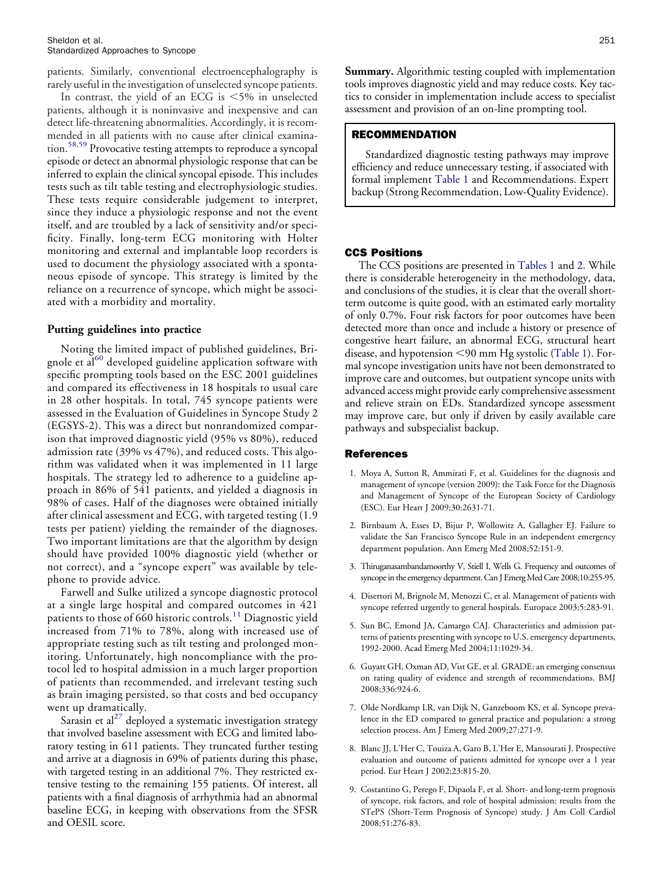patients. Similarly, conventional electroencephalography is rarely useful in the investigation of unselected syncope patients.

In contrast, the yield of an ECG is  $< 5\%$  in unselected patients, although it is noninvasive and inexpensive and can detect life-threatening abnormalities. Accordingly, it is recommended in all patients with no cause after clinical examination.[58,59](#page-7-4) Provocative testing attempts to reproduce a syncopal episode or detect an abnormal physiologic response that can be inferred to explain the clinical syncopal episode. This includes tests such as tilt table testing and electrophysiologic studies. These tests require considerable judgement to interpret, since they induce a physiologic response and not the event itself, and are troubled by a lack of sensitivity and/or specificity. Finally, long-term ECG monitoring with Holter monitoring and external and implantable loop recorders is used to document the physiology associated with a spontaneous episode of syncope. This strategy is limited by the reliance on a recurrence of syncope, which might be associated with a morbidity and mortality.

# **Putting guidelines into practice**

Noting the limited impact of published guidelines, Bri-gnole et al<sup>[60](#page-7-5)</sup> developed guideline application software with specific prompting tools based on the ESC 2001 guidelines and compared its effectiveness in 18 hospitals to usual care in 28 other hospitals. In total, 745 syncope patients were assessed in the Evaluation of Guidelines in Syncope Study 2 (EGSYS-2). This was a direct but nonrandomized comparison that improved diagnostic yield (95% vs 80%), reduced admission rate (39% vs 47%), and reduced costs. This algorithm was validated when it was implemented in 11 large hospitals. The strategy led to adherence to a guideline approach in 86% of 541 patients, and yielded a diagnosis in 98% of cases. Half of the diagnoses were obtained initially after clinical assessment and ECG, with targeted testing (1.9 tests per patient) yielding the remainder of the diagnoses. Two important limitations are that the algorithm by design should have provided 100% diagnostic yield (whether or not correct), and a "syncope expert" was available by telephone to provide advice.

Farwell and Sulke utilized a syncope diagnostic protocol at a single large hospital and compared outcomes in 421 patients to those of 660 historic controls.<sup>[11](#page-6-18)</sup> Diagnostic yield increased from 71% to 78%, along with increased use of appropriate testing such as tilt testing and prolonged monitoring. Unfortunately, high noncompliance with the protocol led to hospital admission in a much larger proportion of patients than recommended, and irrelevant testing such as brain imaging persisted, so that costs and bed occupancy went up dramatically.

Sarasin et al<sup>[27](#page-6-19)</sup> deployed a systematic investigation strategy that involved baseline assessment with ECG and limited laboratory testing in 611 patients. They truncated further testing and arrive at a diagnosis in 69% of patients during this phase, with targeted testing in an additional 7%. They restricted extensive testing to the remaining 155 patients. Of interest, all patients with a final diagnosis of arrhythmia had an abnormal baseline ECG, in keeping with observations from the SFSR and OESIL score.

**Summary.** Algorithmic testing coupled with implementation tools improves diagnostic yield and may reduce costs. Key tactics to consider in implementation include access to specialist assessment and provision of an on-line prompting tool.

# RECOMMENDATION

Standardized diagnostic testing pathways may improve efficiency and reduce unnecessary testing, if associated with formal implement [Table 1](#page-2-0) and Recommendations. Expert backup (Strong Recommendation, Low-Quality Evidence).

# CCS Positions

The CCS positions are presented in [Tables 1](#page-2-0) and [2.](#page-4-0) While there is considerable heterogeneity in the methodology, data, and conclusions of the studies, it is clear that the overall shortterm outcome is quite good, with an estimated early mortality of only 0.7%. Four risk factors for poor outcomes have been detected more than once and include a history or presence of congestive heart failure, an abnormal ECG, structural heart disease, and hypotension <90 mm Hg systolic [\(Table 1\)](#page-2-0). Formal syncope investigation units have not been demonstrated to improve care and outcomes, but outpatient syncope units with advanced access might provide early comprehensive assessment and relieve strain on EDs. Standardized syncope assessment may improve care, but only if driven by easily available care pathways and subspecialist backup.

## <span id="page-5-0"></span>References

- 1. Moya A, Sutton R, Ammirati F, et al. Guidelines for the diagnosis and management of syncope (version 2009): the Task Force for the Diagnosis and Management of Syncope of the European Society of Cardiology (ESC). Eur Heart J 2009;30:2631-71.
- <span id="page-5-5"></span>2. Birnbaum A, Esses D, Bijur P, Wollowitz A, Gallagher EJ. Failure to validate the San Francisco Syncope Rule in an independent emergency department population. Ann Emerg Med 2008;52:151-9.
- <span id="page-5-7"></span>3. Thiruganasambandamoorthy V, Stiell I, Wells G. Frequency and outcomes of syncope in the emergency department. Can J Emerg Med Care 2008;10:255-95.
- <span id="page-5-2"></span><span id="page-5-1"></span>4. Disertori M, Brignole M, Menozzi C, et al. Management of patients with syncope referred urgently to general hospitals. Europace 2003;5:283-91.
- 5. Sun BC, Emond JA, Camargo CAJ. Characteristics and admission patterns of patients presenting with syncope to U.S. emergency departments, 1992-2000. Acad Emerg Med 2004;11:1029-34.
- <span id="page-5-3"></span>6. Guyatt GH, Oxman AD, Vist GE, et al. GRADE: an emerging consensus on rating quality of evidence and strength of recommendations. BMJ 2008;336:924-6.
- <span id="page-5-4"></span>7. Olde Nordkamp LR, van Dijk N, Ganzeboom KS, et al. Syncope prevalence in the ED compared to general practice and population: a strong selection process. Am J Emerg Med 2009;27:271-9.
- 8. Blanc JJ, L'Her C, Touiza A, Garo B, L'Her E, Mansourati J. Prospective evaluation and outcome of patients admitted for syncope over a 1 year period. Eur Heart J 2002;23:815-20.
- <span id="page-5-6"></span>9. Costantino G, Perego F, Dipaola F, et al. Short- and long-term prognosis of syncope, risk factors, and role of hospital admission: results from the STePS (Short-Term Prognosis of Syncope) study. J Am Coll Cardiol 2008;51:276-83.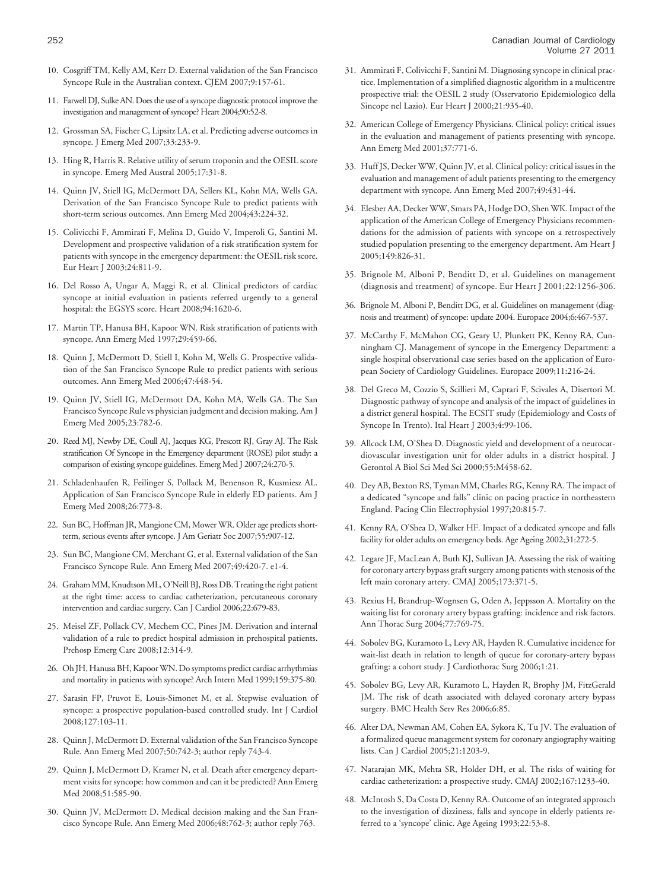- 10. Cosgriff TM, Kelly AM, Kerr D. External validation of the San Francisco Syncope Rule in the Australian context. CJEM 2007;9:157-61.
- <span id="page-6-18"></span>11. Farwell DJ, Sulke AN. Does the use of a syncope diagnostic protocol improve the investigation and management of syncope? Heart 2004;90:52-8.
- <span id="page-6-0"></span>12. Grossman SA, Fischer C, Lipsitz LA, et al. Predicting adverse outcomes in syncope. J Emerg Med 2007;33:233-9.
- 13. Hing R, Harris R. Relative utility of serum troponin and the OESIL score in syncope. Emerg Med Austral 2005;17:31-8.
- <span id="page-6-3"></span>14. Quinn JV, Stiell IG, McDermott DA, Sellers KL, Kohn MA, Wells GA. Derivation of the San Francisco Syncope Rule to predict patients with short-term serious outcomes. Ann Emerg Med 2004;43:224-32.
- <span id="page-6-5"></span>15. Colivicchi F, Ammirati F, Melina D, Guido V, Imperoli G, Santini M. Development and prospective validation of a risk stratification system for patients with syncope in the emergency department: the OESIL risk score. Eur Heart J 2003;24:811-9.
- <span id="page-6-2"></span>16. Del Rosso A, Ungar A, Maggi R, et al. Clinical predictors of cardiac syncope at initial evaluation in patients referred urgently to a general hospital: the EGSYS score. Heart 2008;94:1620-6.
- <span id="page-6-6"></span>17. Martin TP, Hanusa BH, Kapoor WN. Risk stratification of patients with syncope. Ann Emerg Med 1997;29:459-66.
- 18. Quinn J, McDermott D, Stiell I, Kohn M, Wells G. Prospective validation of the San Francisco Syncope Rule to predict patients with serious outcomes. Ann Emerg Med 2006;47:448-54.
- <span id="page-6-7"></span>19. Quinn JV, Stiell IG, McDermott DA, Kohn MA, Wells GA. The San Francisco Syncope Rule vs physician judgment and decision making. Am J Emerg Med 2005;23:782-6.
- 20. Reed MJ, Newby DE, Coull AJ, Jacques KG, Prescott RJ, Gray AJ. The Risk stratification Of Syncope in the Emergency department (ROSE) pilot study: a comparison of existing syncope guidelines. Emerg Med J 2007;24:270-5.
- 21. Schladenhaufen R, Feilinger S, Pollack M, Benenson R, Kusmiesz AL. Application of San Francisco Syncope Rule in elderly ED patients. Am J Emerg Med 2008;26:773-8.
- <span id="page-6-1"></span>22. Sun BC, Hoffman JR, Mangione CM, Mower WR. Older age predicts shortterm, serious events after syncope. J Am Geriatr Soc 2007;55:907-12.
- <span id="page-6-4"></span>23. Sun BC, Mangione CM, Merchant G, et al. External validation of the San Francisco Syncope Rule. Ann Emerg Med 2007;49:420-7. e1-4.
- 24. Graham MM, Knudtson ML, O'Neill BJ, Ross DB. Treating the right patient at the right time: access to cardiac catheterization, percutaneous coronary intervention and cardiac surgery. Can J Cardiol 2006;22:679-83.
- 25. Meisel ZF, Pollack CV, Mechem CC, Pines JM. Derivation and internal validation of a rule to predict hospital admission in prehospital patients. Prehosp Emerg Care 2008;12:314-9.
- <span id="page-6-19"></span>26. Oh JH, Hanusa BH, Kapoor WN. Do symptoms predict cardiac arrhythmias and mortality in patients with syncope? Arch Intern Med 1999;159:375-80.
- 27. Sarasin FP, Pruvot E, Louis-Simonet M, et al. Stepwise evaluation of syncope: a prospective population-based controlled study. Int J Cardiol 2008;127:103-11.
- 28. Quinn J, McDermott D. External validation of the San Francisco Syncope Rule. Ann Emerg Med 2007;50:742-3; author reply 743-4.
- 29. Quinn J, McDermott D, Kramer N, et al. Death after emergency department visits for syncope: how common and can it be predicted? Ann Emerg Med 2008;51:585-90.
- 30. Quinn JV, McDermott D. Medical decision making and the San Francisco Syncope Rule. Ann Emerg Med 2006;48:762-3; author reply 763.
- 31. Ammirati F, Colivicchi F, Santini M. Diagnosing syncope in clinical practice. Implementation of a simplified diagnostic algorithm in a multicentre prospective trial: the OESIL 2 study (Osservatorio Epidemiologico della Sincope nel Lazio). Eur Heart J 2000;21:935-40.
- <span id="page-6-8"></span>32. American College of Emergency Physicians. Clinical policy: critical issues in the evaluation and management of patients presenting with syncope. Ann Emerg Med 2001;37:771-6.
- <span id="page-6-9"></span>33. Huff JS, Decker WW, Quinn JV, et al. Clinical policy: critical issues in the evaluation and management of adult patients presenting to the emergency department with syncope. Ann Emerg Med 2007;49:431-44.
- <span id="page-6-10"></span>34. Elesber AA, Decker WW, Smars PA, Hodge DO, Shen WK. Impact of the application of the American College of Emergency Physicians recommendations for the admission of patients with syncope on a retrospectively studied population presenting to the emergency department. Am Heart J 2005;149:826-31.
- 35. Brignole M, Alboni P, Benditt D, et al. Guidelines on management (diagnosis and treatment) of syncope. Eur Heart J 2001;22:1256-306.
- 36. Brignole M, Alboni P, Benditt DG, et al. Guidelines on management (diagnosis and treatment) of syncope: update 2004. Europace 2004;6:467-537.
- <span id="page-6-11"></span>37. McCarthy F, McMahon CG, Geary U, Plunkett PK, Kenny RA, Cunningham CJ. Management of syncope in the Emergency Department: a single hospital observational case series based on the application of European Society of Cardiology Guidelines. Europace 2009;11:216-24.
- <span id="page-6-12"></span>38. Del Greco M, Cozzio S, Scillieri M, Caprari F, Scivales A, Disertori M. Diagnostic pathway of syncope and analysis of the impact of guidelines in a district general hospital. The ECSIT study (Epidemiology and Costs of Syncope In Trento). Ital Heart J 2003;4:99-106.
- <span id="page-6-13"></span>39. Allcock LM, O'Shea D. Diagnostic yield and development of a neurocardiovascular investigation unit for older adults in a district hospital. J Gerontol A Biol Sci Med Sci 2000;55:M458-62.
- <span id="page-6-17"></span>40. Dey AB, Bexton RS, Tyman MM, Charles RG, Kenny RA. The impact of a dedicated "syncope and falls" clinic on pacing practice in northeastern England. Pacing Clin Electrophysiol 1997;20:815-7.
- 41. Kenny RA, O'Shea D, Walker HF. Impact of a dedicated syncope and falls facility for older adults on emergency beds. Age Ageing 2002;31:272-5.
- <span id="page-6-14"></span>42. Legare JF, MacLean A, Buth KJ, Sullivan JA. Assessing the risk of waiting for coronary artery bypass graft surgery among patients with stenosis of the left main coronary artery. CMAJ 2005;173:371-5.
- 43. Rexius H, Brandrup-Wognsen G, Oden A, Jeppsson A. Mortality on the waiting list for coronary artery bypass grafting: incidence and risk factors. Ann Thorac Surg 2004;77:769-75.
- 44. Sobolev BG, Kuramoto L, Levy AR, Hayden R. Cumulative incidence for wait-list death in relation to length of queue for coronary-artery bypass grafting: a cohort study. J Cardiothorac Surg 2006;1:21.
- 45. Sobolev BG, Levy AR, Kuramoto L, Hayden R, Brophy JM, FitzGerald JM. The risk of death associated with delayed coronary artery bypass surgery. BMC Health Serv Res 2006;6:85.
- <span id="page-6-15"></span>46. Alter DA, Newman AM, Cohen EA, Sykora K, Tu JV. The evaluation of a formalized queue management system for coronary angiography waiting lists. Can J Cardiol 2005;21:1203-9.
- <span id="page-6-16"></span>47. Natarajan MK, Mehta SR, Holder DH, et al. The risks of waiting for cardiac catheterization: a prospective study. CMAJ 2002;167:1233-40.
- 48. McIntosh S, Da Costa D, Kenny RA. Outcome of an integrated approach to the investigation of dizziness, falls and syncope in elderly patients referred to a 'syncope' clinic. Age Ageing 1993;22:53-8.